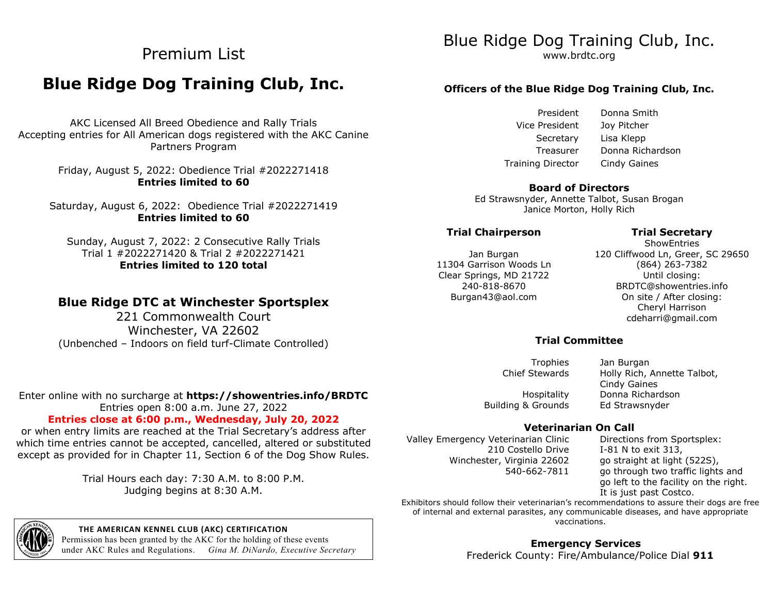# Premium List

# **Blue Ridge Dog Training Club, Inc.**

AKC Licensed All Breed Obedience and Rally Trials Accepting entries for All American dogs registered with the AKC Canine Partners Program

> Friday, August 5, 2022: Obedience Trial #2022271418 **Entries limited to 60**

Saturday, August 6, 2022: Obedience Trial #2022271419 **Entries limited to 60**

Sunday, August 7, 2022: 2 Consecutive Rally Trials Trial 1 #2022271420 & Trial 2 #2022271421 **Entries limited to 120 total**

# **Blue Ridge DTC at Winchester Sportsplex**

221 Commonwealth Court Winchester, VA 22602 (Unbenched – Indoors on field turf-Climate Controlled)

#### Enter online with no surcharge at **https://showentries.info/BRDTC** Entries open 8:00 a.m. June 27, 2022

# **Entries close at 6:00 p.m., Wednesday, July 20, 2022**

or when entry limits are reached at the Trial Secretary's address after which time entries cannot be accepted, cancelled, altered or substituted except as provided for in Chapter 11, Section 6 of the Dog Show Rules.

> Trial Hours each day: 7:30 A.M. to 8:00 P.M. Judging begins at 8:30 A.M.



#### **THE AMERICAN KENNEL CLUB (AKC) CERTIFICATION**

Permission has been granted by the AKC for the holding of these events under AKC Rules and Regulations. *Gina M. DiNardo, Executive Secretary*

# Blue Ridge Dog Training Club, Inc.

www.brdtc.org

# **Officers of the Blue Ridge Dog Training Club, Inc.**

President Vice President Secretary Lisa Klepp Treasurer Training Director

Donna Smith Joy Pitcher Donna Richardson Cindy Gaines

#### **Board of Directors**

Ed Strawsnyder, Annette Talbot, Susan Brogan Janice Morton, Holly Rich

#### **Trial Chairperson Trial Secretary**

#### Jan Burgan 11304 Garrison Woods Ln Clear Springs, MD 21722 240-818-8670 Burgan43@aol.com

**ShowEntries** 120 Cliffwood Ln, Greer, SC 29650 (864) 263-7382 Until closing: BRDTC@showentries.info On site / After closing: Cheryl Harrison cdeharri@gmail.com

## **Trial Committee**

Trophies Jan Burgan Chief Stewards Holly Rich, Annette Talbot, Cindy Gaines Hospitality Donna Richardson

# Building & Grounds Ed Strawsnyder

# **Veterinarian On Call**

Valley Emergency Veterinarian Clinic 210 Costello Drive Winchester, Virginia 22602 540-662-7811

Directions from Sportsplex: I-81 N to exit 313, go straight at light (522S), go through two traffic lights and go left to the facility on the right. It is just past Costco.

Exhibitors should follow their veterinarian's recommendations to assure their dogs are free of internal and external parasites, any communicable diseases, and have appropriate vaccinations.

> **Emergency Services** Frederick County: Fire/Ambulance/Police Dial **911**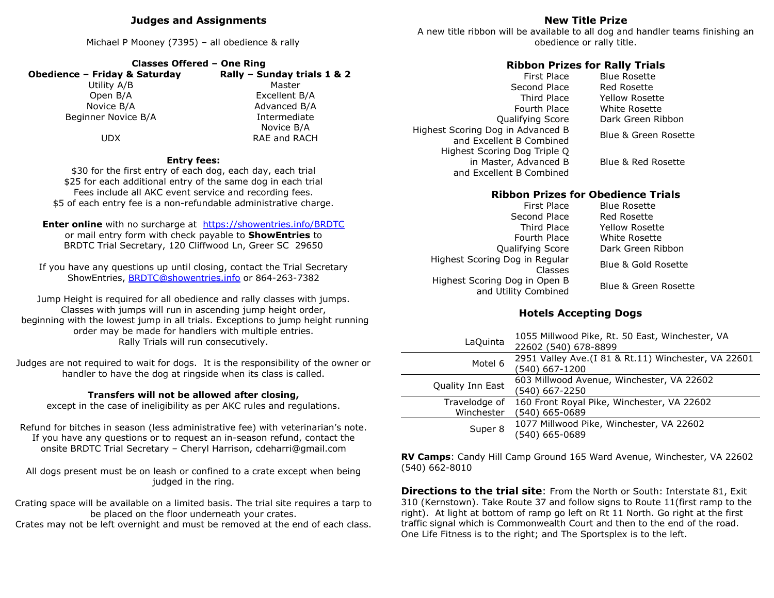### **Judges and Assignments**

Michael P Mooney (7395) – all obedience & rally

| <b>Classes Offered - One Ring</b> |                             |
|-----------------------------------|-----------------------------|
| Obedience - Friday & Saturday     | Rally - Sunday trials 1 & 2 |
| Utility A/B                       | Master                      |
| Open B/A                          | Excellent B/A               |
| Novice B/A                        | Advanced B/A                |
| Beginner Novice B/A               | Intermediate                |
|                                   | Novice B/A                  |
| UDX                               | RAE and RACH                |

#### **Entry fees:**

\$30 for the first entry of each dog, each day, each trial \$25 for each additional entry of the same dog in each trial Fees include all AKC event service and recording fees. \$5 of each entry fee is a non-refundable administrative charge.

**Enter online** with no surcharge at https://showentries.info/BRDTC or mail entry form with check payable to **ShowEntries** to BRDTC Trial Secretary, 120 Cliffwood Ln, Greer SC 29650

If you have any questions up until closing, contact the Trial Secretary ShowEntries, BRDTC@showentries.info or 864-263-7382

Jump Height is required for all obedience and rally classes with jumps. Classes with jumps will run in ascending jump height order, beginning with the lowest jump in all trials. Exceptions to jump height running order may be made for handlers with multiple entries. Rally Trials will run consecutively.

Judges are not required to wait for dogs. It is the responsibility of the owner or handler to have the dog at ringside when its class is called.

#### **Transfers will not be allowed after closing,**

except in the case of ineligibility as per AKC rules and regulations.

Refund for bitches in season (less administrative fee) with veterinarian's note. If you have any questions or to request an in-season refund, contact the onsite BRDTC Trial Secretary – Cheryl Harrison, cdeharri@gmail.com

All dogs present must be on leash or confined to a crate except when being judged in the ring.

Crating space will be available on a limited basis. The trial site requires a tarp to be placed on the floor underneath your crates.

Crates may not be left overnight and must be removed at the end of each class.

# **New Title Prize**

A new title ribbon will be available to all dog and handler teams finishing an obedience or rally title.

## **Ribbon Prizes for Rally Trials**

Highest Scoring Dog in Advanced B and Excellent B Combined Blue & Green Rosette Highest Scoring Dog Triple Q in Master, Advanced B and Excellent B Combined

First Place Blue Rosette Second Place Red Rosette Third Place Yellow Rosette Fourth Place White Rosette Qualifying Score Dark Green Ribbon

Blue & Red Rosette

# **Ribbon Prizes for Obedience Trials**

| First Place                                           | <b>Blue Rosette</b>   |
|-------------------------------------------------------|-----------------------|
| Second Place                                          | <b>Red Rosette</b>    |
| Third Place                                           | <b>Yellow Rosette</b> |
| Fourth Place                                          | White Rosette         |
| Qualifying Score                                      | Dark Green Ribbon     |
| Highest Scoring Dog in Regular<br>Classes             | Blue & Gold Rosette   |
| Highest Scoring Dog in Open B<br>and Utility Combined | Blue & Green Rosette  |

# **Hotels Accepting Dogs**

| LaQuinta         | 1055 Millwood Pike, Rt. 50 East, Winchester, VA<br>22602 (540) 678-8899 |
|------------------|-------------------------------------------------------------------------|
| Motel 6          | 2951 Valley Ave. (I 81 & Rt. 11) Winchester, VA 22601<br>(540) 667-1200 |
| Quality Inn East | 603 Millwood Avenue, Winchester, VA 22602<br>(540) 667-2250             |
| Travelodge of    | 160 Front Royal Pike, Winchester, VA 22602                              |
| Winchester       | (540) 665-0689                                                          |
| Super 8          | 1077 Millwood Pike, Winchester, VA 22602<br>(540) 665-0689              |

**RV Camps**: Candy Hill Camp Ground 165 Ward Avenue, Winchester, VA 22602 (540) 662-8010

**Directions to the trial site**: From the North or South: Interstate 81, Exit 310 (Kernstown). Take Route 37 and follow signs to Route 11(first ramp to the right). At light at bottom of ramp go left on Rt 11 North. Go right at the first traffic signal which is Commonwealth Court and then to the end of the road. One Life Fitness is to the right; and The Sportsplex is to the left.